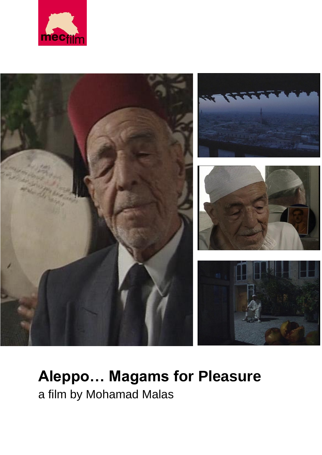



# **Aleppo… Magams for Pleasure** a film by Mohamad Malas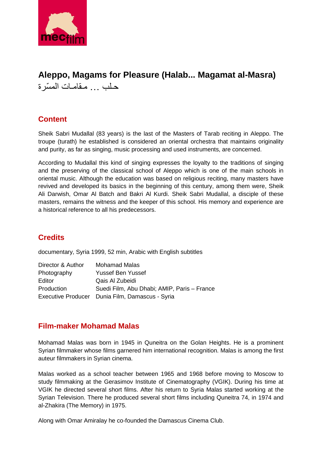

# **Aleppo, Magams for Pleasure (Halab... Magamat al-Masra)**  حـلب ... مـقامـات الم ّسرة

## **Content**

Sheik Sabri Mudallal (83 years) is the last of the Masters of Tarab reciting in Aleppo. The troupe (turath) he established is considered an oriental orchestra that maintains originality and purity, as far as singing, music processing and used instruments, are concerned.

According to Mudallal this kind of singing expresses the loyalty to the traditions of singing and the preserving of the classical school of Aleppo which is one of the main schools in oriental music. Although the education was based on religious reciting, many masters have revived and developed its basics in the beginning of this century, among them were, Sheik Ali Darwish, Omar Al Batch and Bakri Al Kurdi. Sheik Sabri Mudallal, a disciple of these masters, remains the witness and the keeper of this school. His memory and experience are a historical reference to all his predecessors.

## **Credits**

documentary, Syria 1999, 52 min, Arabic with English subtitles

| Director & Author | <b>Mohamad Malas</b>                            |
|-------------------|-------------------------------------------------|
| Photography       | <b>Yussef Ben Yussef</b>                        |
| Editor            | Qais Al Zubeidi                                 |
| Production        | Suedi Film, Abu Dhabi; AMIP, Paris - France     |
|                   | Executive Producer Dunia Film, Damascus - Syria |

#### **Film-maker Mohamad Malas**

Mohamad Malas was born in 1945 in Quneitra on the Golan Heights. He is a prominent Syrian filmmaker whose films garnered him international recognition. Malas is among the first auteur filmmakers in Syrian cinema.

Malas worked as a school teacher between 1965 and 1968 before moving to Moscow to study filmmaking at the Gerasimov Institute of Cinematography (VGIK). During his time at VGIK he directed several short films. After his return to Syria Malas started working at the Syrian Television. There he produced several short films including Quneitra 74, in 1974 and al-Zhakira (The Memory) in 1975.

Along with Omar Amiralay he co-founded the Damascus Cinema Club.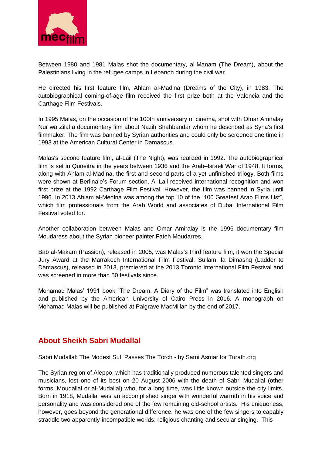

Between 1980 and 1981 Malas shot the documentary, al-Manam (The Dream), about the Palestinians living in the refugee camps in Lebanon during the civil war.

He directed his first feature film, Ahlam al-Madina (Dreams of the City), in 1983. The autobiographical coming-of-age film received the first prize both at the Valencia and the Carthage Film Festivals.

In 1995 Malas, on the occasion of the 100th anniversary of cinema, shot with Omar Amiralay Nur wa Zilal a documentary film about Nazih Shahbandar whom he described as Syria's first filmmaker. The film was banned by Syrian authorities and could only be screened one time in 1993 at the American Cultural Center in Damascus.

Malas's second feature film, al-Lail (The Night), was realized in 1992. The autobiographical film is set in Quneitra in the years between 1936 and the Arab–Israeli War of 1948. It forms, along with Ahlam al-Madina, the first and second parts of a yet unfinished trilogy. Both films were shown at Berlinale's Forum section. Al-Lail received international recognition and won first prize at the 1992 Carthage Film Festival. However, the film was banned in Syria until 1996. In 2013 Ahlam al-Medina was among the top 10 of the "100 Greatest Arab Films List", which film professionals from the Arab World and associates of Dubai International Film Festival voted for.

Another collaboration between Malas and Omar Amiralay is the 1996 documentary film Moudaress about the Syrian pioneer painter Fateh Moudarres.

Bab al-Makam (Passion), released in 2005, was Malas's third feature film, it won the Special Jury Award at the Marrakech International Film Festival. Sullam Ila Dimashq (Ladder to Damascus), released in 2013, premiered at the 2013 Toronto International Film Festival and was screened in more than 50 festivals since.

Mohamad Malas' 1991 book "The Dream. A Diary of the Film" was translated into English and published by the American University of Cairo Press in 2016. A monograph on Mohamad Malas will be published at Palgrave MacMillan by the end of 2017.

#### **About Sheikh Sabri Mudallal**

Sabri Mudallal: The Modest Sufi Passes The Torch - by Sami Asmar for Turath.org

The Syrian region of Aleppo, which has traditionally produced numerous talented singers and musicians, lost one of its best on 20 August 2006 with the death of Sabri Mudallal (other forms: Moudallal or al-Mudallal) who, for a long time, was little known outside the city limits. Born in 1918, Mudallal was an accomplished singer with wonderful warmth in his voice and personality and was considered one of the few remaining old-school artists. His uniqueness, however, goes beyond the generational difference; he was one of the few singers to capably straddle two apparently-incompatible worlds: religious chanting and secular singing. This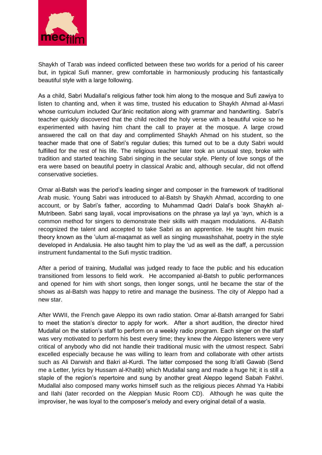

Shaykh of Tarab was indeed conflicted between these two worlds for a period of his career but, in typical Sufi manner, grew comfortable in harmoniously producing his fantastically beautiful style with a large following.

As a child, Sabri Mudallal's religious father took him along to the mosque and Sufi zawiya to listen to chanting and, when it was time, trusted his education to Shaykh Ahmad al-Masri whose curriculum included Qur'ānic recitation along with grammar and handwriting. Sabri's teacher quickly discovered that the child recited the holy verse with a beautiful voice so he experimented with having him chant the call to prayer at the mosque. A large crowd answered the call on that day and complimented Shaykh Ahmad on his student, so the teacher made that one of Sabri's regular duties; this turned out to be a duty Sabri would fulfilled for the rest of his life. The religious teacher later took an unusual step, broke with tradition and started teaching Sabri singing in the secular style. Plenty of love songs of the era were based on beautiful poetry in classical Arabic and, although secular, did not offend conservative societies.

Omar al-Batsh was the period's leading singer and composer in the framework of traditional Arab music. Young Sabri was introduced to al-Batsh by Shaykh Ahmad, according to one account, or by Sabri's father, according to Muhammad Qadri Dalal's book Shaykh al-Mutribeen. Sabri sang layali, vocal improvisations on the phrase ya layl ya 'ayn, which is a common method for singers to demonstrate their skills with maqam modulations. Al-Batsh recognized the talent and accepted to take Sabri as an apprentice. He taught him music theory known as the 'ulum al-maqamat as well as singing muwashshahat, poetry in the style developed in Andalusia. He also taught him to play the 'ud as well as the daff, a percussion instrument fundamental to the Sufi mystic tradition.

After a period of training, Mudallal was judged ready to face the public and his education transitioned from lessons to field work. He accompanied al-Batsh to public performances and opened for him with short songs, then longer songs, until he became the star of the shows as al-Batsh was happy to retire and manage the business. The city of Aleppo had a new star.

After WWII, the French gave Aleppo its own radio station. Omar al-Batsh arranged for Sabri to meet the station's director to apply for work. After a short audition, the director hired Mudallal on the station's staff to perform on a weekly radio program. Each singer on the staff was very motivated to perform his best every time; they knew the Aleppo listeners were very critical of anybody who did not handle their traditional music with the utmost respect. Sabri excelled especially because he was willing to learn from and collaborate with other artists such as Ali Darwish and Bakri al-Kurdi. The latter composed the song Ib'atli Gawab (Send me a Letter, lyrics by Hussam al-Khatib) which Mudallal sang and made a huge hit; it is still a staple of the region's repertoire and sung by another great Aleppo legend Sabah Fakhri. Mudallal also composed many works himself such as the religious pieces Ahmad Ya Habibi and Ilahi (later recorded on the Aleppian Music Room CD). Although he was quite the improviser, he was loyal to the composer's melody and every original detail of a wasla.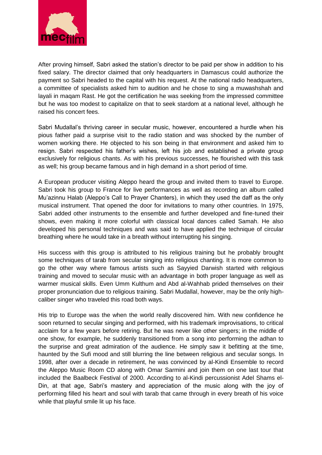

After proving himself, Sabri asked the station's director to be paid per show in addition to his fixed salary. The director claimed that only headquarters in Damascus could authorize the payment so Sabri headed to the capital with his request. At the national radio headquarters, a committee of specialists asked him to audition and he chose to sing a muwashshah and layali in maqam Rast. He got the certification he was seeking from the impressed committee but he was too modest to capitalize on that to seek stardom at a national level, although he raised his concert fees.

Sabri Mudallal's thriving career in secular music, however, encountered a hurdle when his pious father paid a surprise visit to the radio station and was shocked by the number of women working there. He objected to his son being in that environment and asked him to resign. Sabri respected his father's wishes, left his job and established a private group exclusively for religious chants. As with his previous successes, he flourished with this task as well; his group became famous and in high demand in a short period of time.

A European producer visiting Aleppo heard the group and invited them to travel to Europe. Sabri took his group to France for live performances as well as recording an album called Mu'azinnu Halab (Aleppo's Call to Prayer Chanters), in which they used the daff as the only musical instrument. That opened the door for invitations to many other countries. In 1975, Sabri added other instruments to the ensemble and further developed and fine-tuned their shows, even making it more colorful with classical local dances called Samah. He also developed his personal techniques and was said to have applied the technique of circular breathing where he would take in a breath without interrupting his singing.

His success with this group is attributed to his religious training but he probably brought some techniques of tarab from secular singing into religious chanting. It is more common to go the other way where famous artists such as Sayyied Darwish started with religious training and moved to secular music with an advantage in both proper language as well as warmer musical skills. Even Umm Kulthum and Abd al-Wahhab prided themselves on their proper pronunciation due to religious training. Sabri Mudallal, however, may be the only highcaliber singer who traveled this road both ways.

His trip to Europe was the when the world really discovered him. With new confidence he soon returned to secular singing and performed, with his trademark improvisations, to critical acclaim for a few years before retiring. But he was never like other singers; in the middle of one show, for example, he suddenly transitioned from a song into performing the adhan to the surprise and great admiration of the audience. He simply saw it befitting at the time, haunted by the Sufi mood and still blurring the line between religious and secular songs. In 1998, after over a decade in retirement, he was convinced by al-Kindi Ensemble to record the Aleppo Music Room CD along with Omar Sarmini and join them on one last tour that included the Baalbeck Festival of 2000. According to al-Kindi percussionist Adel Shams el-Din, at that age, Sabri's mastery and appreciation of the music along with the joy of performing filled his heart and soul with tarab that came through in every breath of his voice while that playful smile lit up his face.